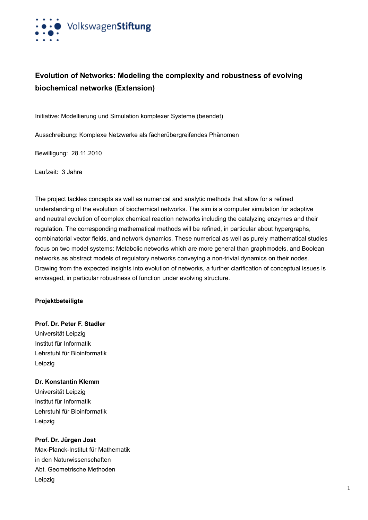

# **Evolution of Networks: Modeling the complexity and robustness of evolving biochemical networks (Extension)**

Initiative: Modellierung und Simulation komplexer Systeme (beendet)

Ausschreibung: Komplexe Netzwerke als fächerübergreifendes Phänomen

Bewilligung: 28.11.2010

Laufzeit: 3 Jahre

The project tackles concepts as well as numerical and analytic methods that allow for a refined understanding of the evolution of biochemical networks. The aim is a computer simulation for adaptive and neutral evolution of complex chemical reaction networks including the catalyzing enzymes and their regulation. The corresponding mathematical methods will be refined, in particular about hypergraphs, combinatorial vector fields, and network dynamics. These numerical as well as purely mathematical studies focus on two model systems: Metabolic networks which are more general than graphmodels, and Boolean networks as abstract models of regulatory networks conveying a non-trivial dynamics on their nodes. Drawing from the expected insights into evolution of networks, a further clarification of conceptual issues is envisaged, in particular robustness of function under evolving structure.

### **Projektbeteiligte**

**Prof. Dr. Peter F. Stadler** Universität Leipzig Institut für Informatik Lehrstuhl für Bioinformatik Leipzig

#### **Dr. Konstantin Klemm**

Universität Leipzig Institut für Informatik Lehrstuhl für Bioinformatik Leipzig

**Prof. Dr. Jürgen Jost** Max-Planck-Institut für Mathematik in den Naturwissenschaften Abt. Geometrische Methoden Leipzig